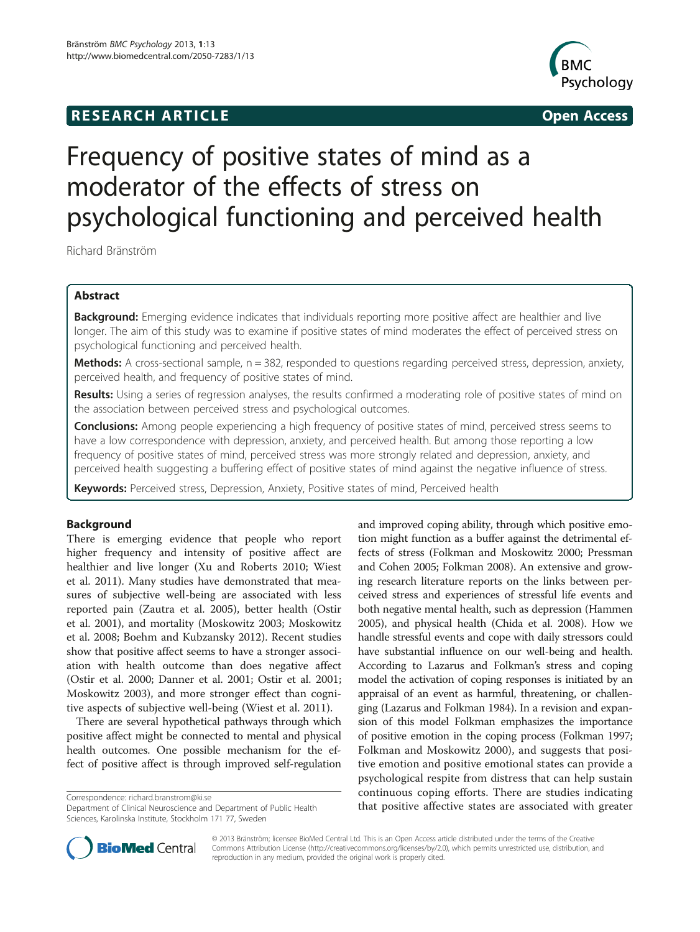# **RESEARCH ARTICLE Example 2014 CONSIDERING CONSIDERING CONSIDERING CONSIDERING CONSIDERING CONSIDERING CONSIDERING CONSIDERING CONSIDERING CONSIDERING CONSIDERING CONSIDERING CONSIDERING CONSIDERING CONSIDERING CONSIDE**



# Frequency of positive states of mind as a moderator of the effects of stress on psychological functioning and perceived health

Richard Bränström

# Abstract

Background: Emerging evidence indicates that individuals reporting more positive affect are healthier and live longer. The aim of this study was to examine if positive states of mind moderates the effect of perceived stress on psychological functioning and perceived health.

Methods: A cross-sectional sample, n = 382, responded to questions regarding perceived stress, depression, anxiety, perceived health, and frequency of positive states of mind.

Results: Using a series of regression analyses, the results confirmed a moderating role of positive states of mind on the association between perceived stress and psychological outcomes.

**Conclusions:** Among people experiencing a high frequency of positive states of mind, perceived stress seems to have a low correspondence with depression, anxiety, and perceived health. But among those reporting a low frequency of positive states of mind, perceived stress was more strongly related and depression, anxiety, and perceived health suggesting a buffering effect of positive states of mind against the negative influence of stress.

Keywords: Perceived stress, Depression, Anxiety, Positive states of mind, Perceived health

## Background

There is emerging evidence that people who report higher frequency and intensity of positive affect are healthier and live longer (Xu and Roberts [2010](#page-6-0); Wiest et al. [2011](#page-6-0)). Many studies have demonstrated that measures of subjective well-being are associated with less reported pain (Zautra et al. [2005\)](#page-6-0), better health (Ostir et al. [2001](#page-6-0)), and mortality (Moskowitz [2003;](#page-5-0) Moskowitz et al. [2008;](#page-6-0) Boehm and Kubzansky [2012](#page-5-0)). Recent studies show that positive affect seems to have a stronger association with health outcome than does negative affect (Ostir et al. [2000;](#page-6-0) Danner et al. [2001](#page-5-0); Ostir et al. [2001](#page-6-0); Moskowitz [2003](#page-5-0)), and more stronger effect than cognitive aspects of subjective well-being (Wiest et al. [2011\)](#page-6-0).

There are several hypothetical pathways through which positive affect might be connected to mental and physical health outcomes. One possible mechanism for the effect of positive affect is through improved self-regulation

Department of Clinical Neuroscience and Department of Public Health Sciences, Karolinska Institute, Stockholm 171 77, Sweden

and improved coping ability, through which positive emotion might function as a buffer against the detrimental effects of stress (Folkman and Moskowitz [2000;](#page-5-0) Pressman and Cohen [2005](#page-6-0); Folkman [2008\)](#page-5-0). An extensive and growing research literature reports on the links between perceived stress and experiences of stressful life events and both negative mental health, such as depression (Hammen [2005\)](#page-5-0), and physical health (Chida et al. [2008](#page-5-0)). How we handle stressful events and cope with daily stressors could have substantial influence on our well-being and health. According to Lazarus and Folkman's stress and coping model the activation of coping responses is initiated by an appraisal of an event as harmful, threatening, or challenging (Lazarus and Folkman [1984\)](#page-5-0). In a revision and expansion of this model Folkman emphasizes the importance of positive emotion in the coping process (Folkman [1997](#page-5-0); Folkman and Moskowitz [2000](#page-5-0)), and suggests that positive emotion and positive emotional states can provide a psychological respite from distress that can help sustain continuous coping efforts. There are studies indicating Correspondence: [richard.branstrom@ki.se](mailto:richard.branstrom@ki.se) example incorrespondence: richard.branstrom@ki.se<br>Department of Clinical Neuroscience and Department of Public Health **hat positive affective states are associated with greater** 



© 2013 Bränström; licensee BioMed Central Ltd. This is an Open Access article distributed under the terms of the Creative Commons Attribution License [\(http://creativecommons.org/licenses/by/2.0\)](http://creativecommons.org/licenses/by/2.0), which permits unrestricted use, distribution, and reproduction in any medium, provided the original work is properly cited.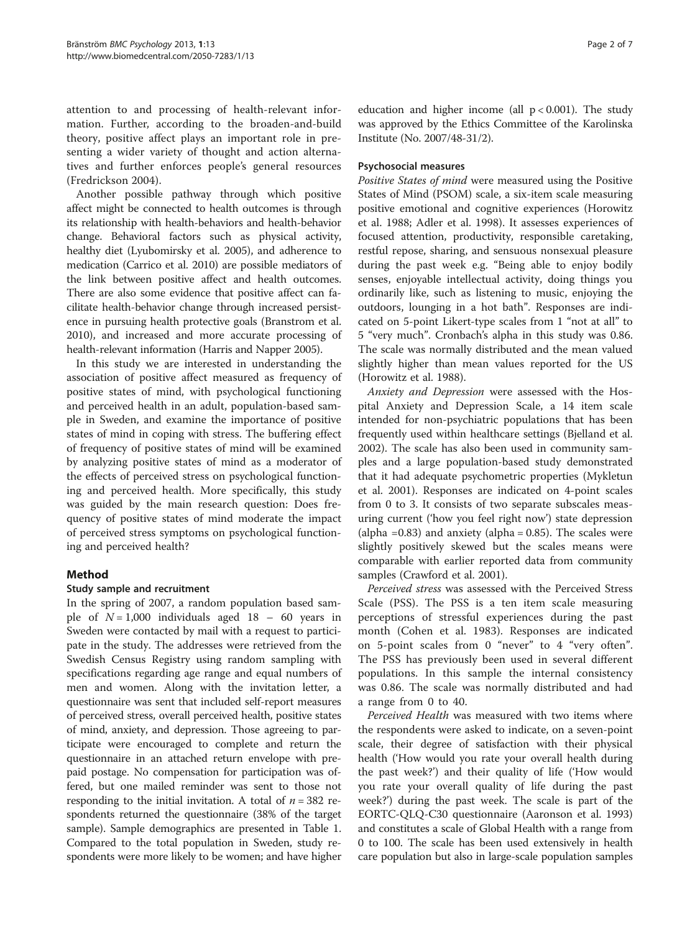attention to and processing of health-relevant information. Further, according to the broaden-and-build theory, positive affect plays an important role in presenting a wider variety of thought and action alternatives and further enforces people's general resources (Fredrickson [2004\)](#page-5-0).

Another possible pathway through which positive affect might be connected to health outcomes is through its relationship with health-behaviors and health-behavior change. Behavioral factors such as physical activity, healthy diet (Lyubomirsky et al. [2005](#page-5-0)), and adherence to medication (Carrico et al. [2010\)](#page-5-0) are possible mediators of the link between positive affect and health outcomes. There are also some evidence that positive affect can facilitate health-behavior change through increased persistence in pursuing health protective goals (Branstrom et al. [2010\)](#page-5-0), and increased and more accurate processing of health-relevant information (Harris and Napper [2005](#page-5-0)).

In this study we are interested in understanding the association of positive affect measured as frequency of positive states of mind, with psychological functioning and perceived health in an adult, population-based sample in Sweden, and examine the importance of positive states of mind in coping with stress. The buffering effect of frequency of positive states of mind will be examined by analyzing positive states of mind as a moderator of the effects of perceived stress on psychological functioning and perceived health. More specifically, this study was guided by the main research question: Does frequency of positive states of mind moderate the impact of perceived stress symptoms on psychological functioning and perceived health?

# Method

## Study sample and recruitment

In the spring of 2007, a random population based sample of  $N = 1,000$  individuals aged 18 – 60 years in Sweden were contacted by mail with a request to participate in the study. The addresses were retrieved from the Swedish Census Registry using random sampling with specifications regarding age range and equal numbers of men and women. Along with the invitation letter, a questionnaire was sent that included self-report measures of perceived stress, overall perceived health, positive states of mind, anxiety, and depression. Those agreeing to participate were encouraged to complete and return the questionnaire in an attached return envelope with prepaid postage. No compensation for participation was offered, but one mailed reminder was sent to those not responding to the initial invitation. A total of  $n = 382$  respondents returned the questionnaire (38% of the target sample). Sample demographics are presented in Table [1](#page-2-0). Compared to the total population in Sweden, study respondents were more likely to be women; and have higher

education and higher income (all  $p < 0.001$ ). The study was approved by the Ethics Committee of the Karolinska Institute (No. 2007/48-31/2).

#### Psychosocial measures

Positive States of mind were measured using the Positive States of Mind (PSOM) scale, a six-item scale measuring positive emotional and cognitive experiences (Horowitz et al. [1988](#page-5-0); Adler et al. [1998](#page-5-0)). It assesses experiences of focused attention, productivity, responsible caretaking, restful repose, sharing, and sensuous nonsexual pleasure during the past week e.g. "Being able to enjoy bodily senses, enjoyable intellectual activity, doing things you ordinarily like, such as listening to music, enjoying the outdoors, lounging in a hot bath". Responses are indicated on 5-point Likert-type scales from 1 "not at all" to 5 "very much". Cronbach's alpha in this study was 0.86. The scale was normally distributed and the mean valued slightly higher than mean values reported for the US (Horowitz et al. [1988](#page-5-0)).

Anxiety and Depression were assessed with the Hospital Anxiety and Depression Scale, a 14 item scale intended for non-psychiatric populations that has been frequently used within healthcare settings (Bjelland et al. [2002](#page-5-0)). The scale has also been used in community samples and a large population-based study demonstrated that it had adequate psychometric properties (Mykletun et al. [2001](#page-6-0)). Responses are indicated on 4-point scales from 0 to 3. It consists of two separate subscales measuring current ('how you feel right now') state depression (alpha =  $0.83$ ) and anxiety (alpha =  $0.85$ ). The scales were slightly positively skewed but the scales means were comparable with earlier reported data from community samples (Crawford et al. [2001\)](#page-5-0).

Perceived stress was assessed with the Perceived Stress Scale (PSS). The PSS is a ten item scale measuring perceptions of stressful experiences during the past month (Cohen et al. [1983\)](#page-5-0). Responses are indicated on 5-point scales from 0 "never" to 4 "very often". The PSS has previously been used in several different populations. In this sample the internal consistency was 0.86. The scale was normally distributed and had a range from 0 to 40.

Perceived Health was measured with two items where the respondents were asked to indicate, on a seven-point scale, their degree of satisfaction with their physical health ('How would you rate your overall health during the past week?') and their quality of life ('How would you rate your overall quality of life during the past week?') during the past week. The scale is part of the EORTC-QLQ-C30 questionnaire (Aaronson et al. [1993](#page-5-0)) and constitutes a scale of Global Health with a range from 0 to 100. The scale has been used extensively in health care population but also in large-scale population samples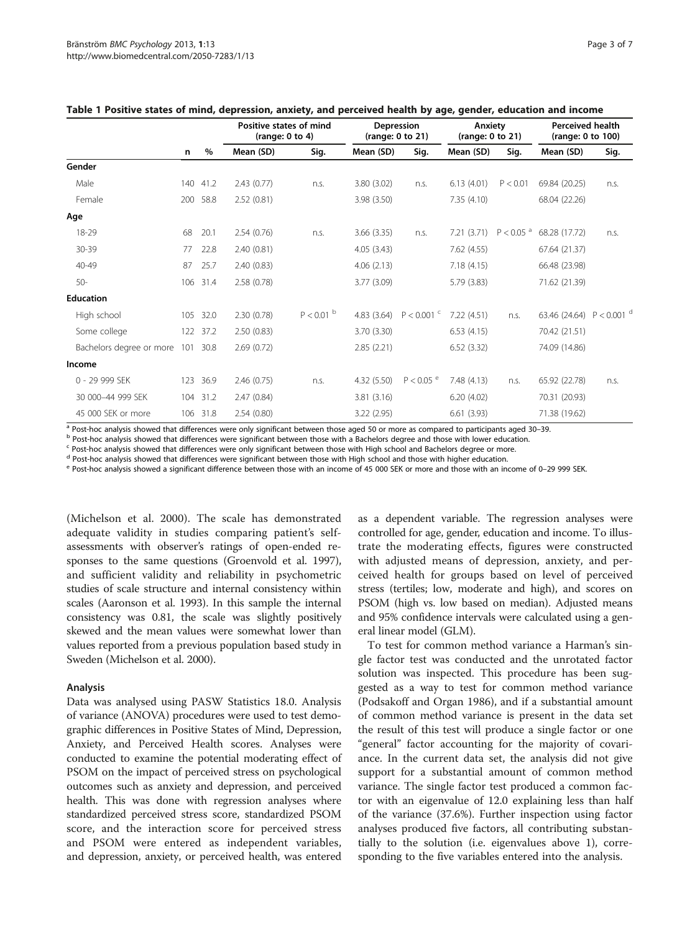|                                   | n   | $\%$     | Positive states of mind<br>(range: $0$ to $4$ ) |              | Depression<br>(range: 0 to 21) |                         | Anxiety<br>(range: 0 to 21) |                         | <b>Perceived health</b><br>(range: 0 to 100) |      |
|-----------------------------------|-----|----------|-------------------------------------------------|--------------|--------------------------------|-------------------------|-----------------------------|-------------------------|----------------------------------------------|------|
|                                   |     |          | Mean (SD)                                       | Sig.         | Mean (SD)                      | Sig.                    | Mean (SD)                   | Sig.                    | Mean (SD)                                    | Sig. |
| Gender                            |     |          |                                                 |              |                                |                         |                             |                         |                                              |      |
| Male                              | 140 | 41.2     | 2.43(0.77)                                      | n.s.         | 3.80 (3.02)                    | n.S.                    | 6.13(4.01)                  | P < 0.01                | 69.84 (20.25)                                | n.s. |
| Female                            |     | 200 58.8 | 2.52(0.81)                                      |              | 3.98(3.50)                     |                         | 7.35(4.10)                  |                         | 68.04 (22.26)                                |      |
| Age                               |     |          |                                                 |              |                                |                         |                             |                         |                                              |      |
| 18-29                             | 68  | 20.1     | 2.54(0.76)                                      | n.s.         | 3.66(3.35)                     | n.s.                    | 7.21(3.71)                  | $P < 0.05$ <sup>a</sup> | 68.28 (17.72)                                | n.s. |
| 30-39                             | 77  | 22.8     | 2.40(0.81)                                      |              | 4.05(3.43)                     |                         | 7.62 (4.55)                 |                         | 67.64 (21.37)                                |      |
| 40-49                             | 87  | 25.7     | 2.40 (0.83)                                     |              | 4.06(2.13)                     |                         | 7.18(4.15)                  |                         | 66.48 (23.98)                                |      |
| $50-$                             |     | 106 31.4 | 2.58(0.78)                                      |              | 3.77 (3.09)                    |                         | 5.79(3.83)                  |                         | 71.62 (21.39)                                |      |
| <b>Education</b>                  |     |          |                                                 |              |                                |                         |                             |                         |                                              |      |
| High school                       |     | 105 32.0 | 2.30(0.78)                                      | $P < 0.01$ b |                                | 4.83 (3.64) $P < 0.001$ | 7.22(4.51)                  | n.S.                    | 63.46 (24.64) $P < 0.001$ d                  |      |
| Some college                      |     | 122 37.2 | 2.50(0.83)                                      |              | 3.70(3.30)                     |                         | 6.53(4.15)                  |                         | 70.42 (21.51)                                |      |
| Bachelors degree or more 101 30.8 |     |          | 2.69(0.72)                                      |              | 2.85(2.21)                     |                         | 6.52(3.32)                  |                         | 74.09 (14.86)                                |      |
| Income                            |     |          |                                                 |              |                                |                         |                             |                         |                                              |      |
| 0 - 29 999 SEK                    |     | 123 36.9 | 2.46(0.75)                                      | n.s.         | 4.32(5.50)                     | $P < 0.05$ <sup>e</sup> | 7.48(4.13)                  | n.S.                    | 65.92 (22.78)                                | n.s. |
| 30 000-44 999 SEK                 |     | 104 31.2 | 2.47(0.84)                                      |              | 3.81(3.16)                     |                         | 6.20(4.02)                  |                         | 70.31 (20.93)                                |      |
| 45 000 SEK or more                |     | 106 31.8 | 2.54(0.80)                                      |              | 3.22(2.95)                     |                         | 6.61(3.93)                  |                         | 71.38 (19.62)                                |      |

<span id="page-2-0"></span>

|  | Table 1 Positive states of mind, depression, anxiety, and perceived health by age, gender, education and income |  |  |  |  |
|--|-----------------------------------------------------------------------------------------------------------------|--|--|--|--|
|--|-----------------------------------------------------------------------------------------------------------------|--|--|--|--|

 $^a$  Post-hoc analysis showed that differences were only significant between those aged 50 or more as compared to participants aged 30–39.<br><sup>b</sup> Post-hoc analysis showed that differences were significant between those with

<sup>c</sup> Post-hoc analysis showed that differences were only significant between those with High school and Bachelors degree or more.

<sup>d</sup> Post-hoc analysis showed that differences were significant between those with High school and those with higher education.

<sup>e</sup> Post-hoc analysis showed a significant difference between those with an income of 45 000 SEK or more and those with an income of 0–29 999 SEK.

(Michelson et al. [2000](#page-5-0)). The scale has demonstrated adequate validity in studies comparing patient's selfassessments with observer's ratings of open-ended responses to the same questions (Groenvold et al. [1997](#page-5-0)), and sufficient validity and reliability in psychometric studies of scale structure and internal consistency within scales (Aaronson et al. [1993](#page-5-0)). In this sample the internal consistency was 0.81, the scale was slightly positively skewed and the mean values were somewhat lower than values reported from a previous population based study in Sweden (Michelson et al. [2000](#page-5-0)).

#### Analysis

Data was analysed using PASW Statistics 18.0. Analysis of variance (ANOVA) procedures were used to test demographic differences in Positive States of Mind, Depression, Anxiety, and Perceived Health scores. Analyses were conducted to examine the potential moderating effect of PSOM on the impact of perceived stress on psychological outcomes such as anxiety and depression, and perceived health. This was done with regression analyses where standardized perceived stress score, standardized PSOM score, and the interaction score for perceived stress and PSOM were entered as independent variables, and depression, anxiety, or perceived health, was entered as a dependent variable. The regression analyses were controlled for age, gender, education and income. To illustrate the moderating effects, figures were constructed with adjusted means of depression, anxiety, and perceived health for groups based on level of perceived stress (tertiles; low, moderate and high), and scores on PSOM (high vs. low based on median). Adjusted means and 95% confidence intervals were calculated using a general linear model (GLM).

To test for common method variance a Harman's single factor test was conducted and the unrotated factor solution was inspected. This procedure has been suggested as a way to test for common method variance (Podsakoff and Organ [1986\)](#page-6-0), and if a substantial amount of common method variance is present in the data set the result of this test will produce a single factor or one "general" factor accounting for the majority of covariance. In the current data set, the analysis did not give support for a substantial amount of common method variance. The single factor test produced a common factor with an eigenvalue of 12.0 explaining less than half of the variance (37.6%). Further inspection using factor analyses produced five factors, all contributing substantially to the solution (i.e. eigenvalues above 1), corresponding to the five variables entered into the analysis.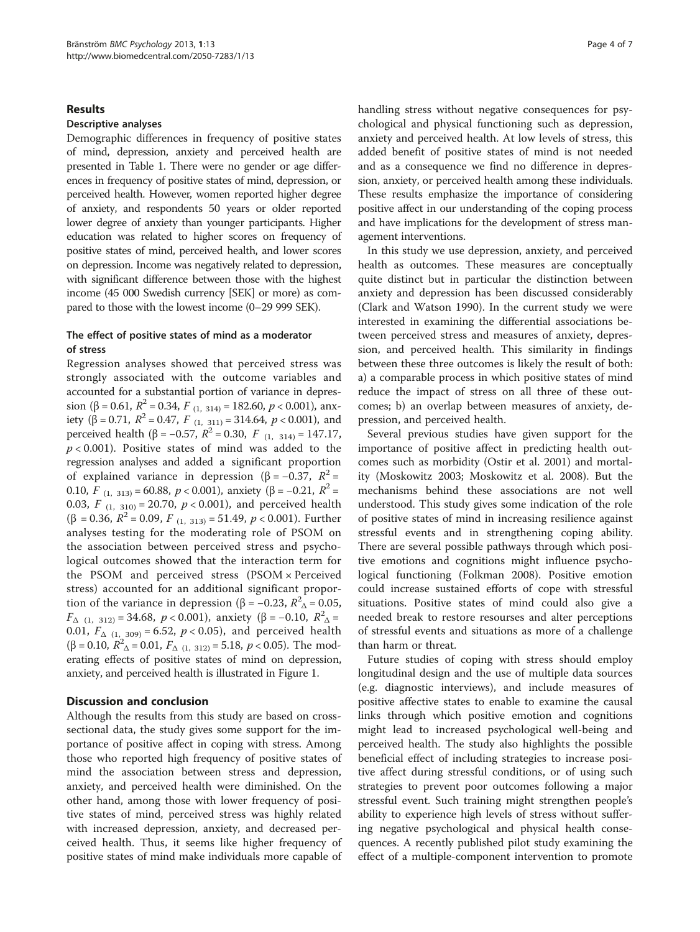#### Results

#### Descriptive analyses

Demographic differences in frequency of positive states of mind, depression, anxiety and perceived health are presented in Table [1](#page-2-0). There were no gender or age differences in frequency of positive states of mind, depression, or perceived health. However, women reported higher degree of anxiety, and respondents 50 years or older reported lower degree of anxiety than younger participants. Higher education was related to higher scores on frequency of positive states of mind, perceived health, and lower scores on depression. Income was negatively related to depression, with significant difference between those with the highest income (45 000 Swedish currency [SEK] or more) as compared to those with the lowest income (0–29 999 SEK).

# The effect of positive states of mind as a moderator of stress

Regression analyses showed that perceived stress was strongly associated with the outcome variables and accounted for a substantial portion of variance in depression (β = 0.61,  $R^2$  = 0.34,  $F_{(1, 314)} = 182.60$ ,  $p < 0.001$ ), anxiety ( $\beta = 0.71$ ,  $R^2 = 0.47$ ,  $F_{(1, 311)} = 314.64$ ,  $p < 0.001$ ), and perceived health (β = -0.57,  $R^2$  = 0.30,  $F$  (1, 314) = 147.17,  $p < 0.001$ ). Positive states of mind was added to the regression analyses and added a significant proportion of explained variance in depression (β = -0.37,  $R^2$  = 0.10, F<sub>(1, 313)</sub> = 60.88,  $p <$  0.001), anxiety (β = -0.21,  $R^2$  = 0.03,  $F_{(1, 310)} = 20.70$ ,  $p < 0.001$ ), and perceived health ( $\beta$  = 0.36,  $R^2$  = 0.09,  $F_{(1, 313)} = 51.49$ ,  $p < 0.001$ ). Further analyses testing for the moderating role of PSOM on the association between perceived stress and psychological outcomes showed that the interaction term for the PSOM and perceived stress (PSOM × Perceived stress) accounted for an additional significant proportion of the variance in depression (β = –0.23,  $R^2$  = 0.05,  $F_{\Delta(1, 312)} = 34.68$ ,  $p < 0.001$ ), anxiety (β = -0.10,  $R^2$ <sub>Δ</sub> = 0.01,  $F_{\Delta(1, 309)} = 6.52$ ,  $p < 0.05$ ), and perceived health ( $\beta$  = 0.10,  $R^2$ <sub>Δ</sub> = 0.01,  $F$ <sub>Δ (1, 312)</sub> = 5.18, *p* < 0.05). The moderating effects of positive states of mind on depression, anxiety, and perceived health is illustrated in Figure [1.](#page-4-0)

## Discussion and conclusion

Although the results from this study are based on crosssectional data, the study gives some support for the importance of positive affect in coping with stress. Among those who reported high frequency of positive states of mind the association between stress and depression, anxiety, and perceived health were diminished. On the other hand, among those with lower frequency of positive states of mind, perceived stress was highly related with increased depression, anxiety, and decreased perceived health. Thus, it seems like higher frequency of positive states of mind make individuals more capable of handling stress without negative consequences for psychological and physical functioning such as depression, anxiety and perceived health. At low levels of stress, this added benefit of positive states of mind is not needed and as a consequence we find no difference in depression, anxiety, or perceived health among these individuals. These results emphasize the importance of considering positive affect in our understanding of the coping process and have implications for the development of stress management interventions.

In this study we use depression, anxiety, and perceived health as outcomes. These measures are conceptually quite distinct but in particular the distinction between anxiety and depression has been discussed considerably (Clark and Watson [1990](#page-5-0)). In the current study we were interested in examining the differential associations between perceived stress and measures of anxiety, depression, and perceived health. This similarity in findings between these three outcomes is likely the result of both: a) a comparable process in which positive states of mind reduce the impact of stress on all three of these outcomes; b) an overlap between measures of anxiety, depression, and perceived health.

Several previous studies have given support for the importance of positive affect in predicting health outcomes such as morbidity (Ostir et al. [2001\)](#page-6-0) and mortality (Moskowitz [2003;](#page-5-0) Moskowitz et al. [2008\)](#page-6-0). But the mechanisms behind these associations are not well understood. This study gives some indication of the role of positive states of mind in increasing resilience against stressful events and in strengthening coping ability. There are several possible pathways through which positive emotions and cognitions might influence psychological functioning (Folkman [2008](#page-5-0)). Positive emotion could increase sustained efforts of cope with stressful situations. Positive states of mind could also give a needed break to restore resourses and alter perceptions of stressful events and situations as more of a challenge than harm or threat.

Future studies of coping with stress should employ longitudinal design and the use of multiple data sources (e.g. diagnostic interviews), and include measures of positive affective states to enable to examine the causal links through which positive emotion and cognitions might lead to increased psychological well-being and perceived health. The study also highlights the possible beneficial effect of including strategies to increase positive affect during stressful conditions, or of using such strategies to prevent poor outcomes following a major stressful event. Such training might strengthen people's ability to experience high levels of stress without suffering negative psychological and physical health consequences. A recently published pilot study examining the effect of a multiple-component intervention to promote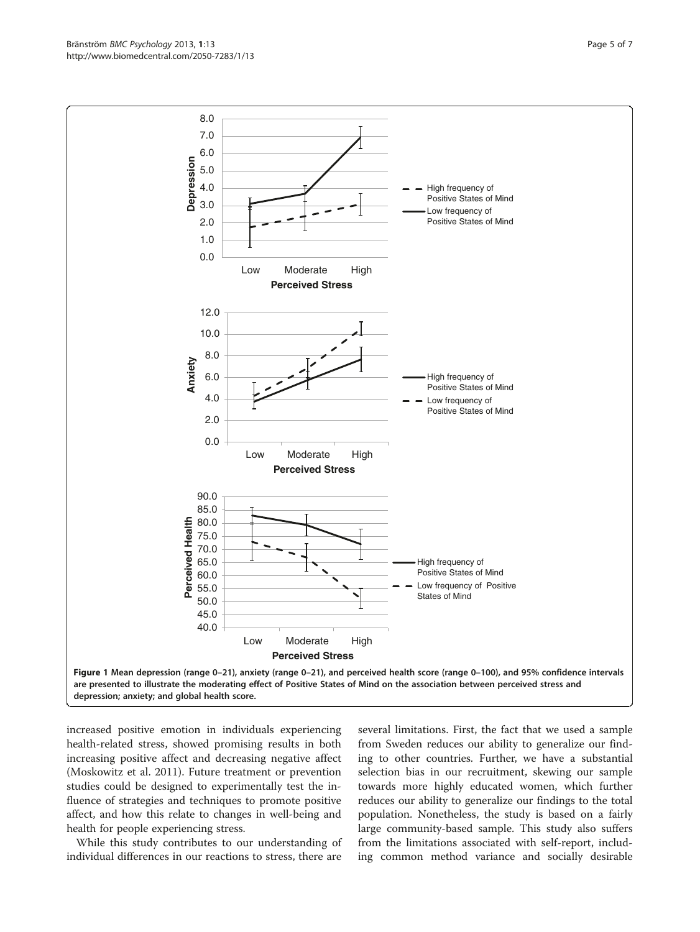<span id="page-4-0"></span>Bränström *BMC Psychology 2*013, **1**:13 Page 5 of 7 Page 5 of 7 Page 5 of 7 Page 5 of 7 Page 5 of 7 Page 5 of 7 Page 5 of 7 Page 5 of 7 Page 5 of 7 Page 5 of 7 Page 5 of 7 Page 5 of 7 Page 5 of 7 Page 5 of 7 Page 5 of 7 Pa



increased positive emotion in individuals experiencing health-related stress, showed promising results in both increasing positive affect and decreasing negative affect (Moskowitz et al. [2011\)](#page-6-0). Future treatment or prevention studies could be designed to experimentally test the influence of strategies and techniques to promote positive affect, and how this relate to changes in well-being and health for people experiencing stress.

While this study contributes to our understanding of individual differences in our reactions to stress, there are

several limitations. First, the fact that we used a sample from Sweden reduces our ability to generalize our finding to other countries. Further, we have a substantial selection bias in our recruitment, skewing our sample towards more highly educated women, which further reduces our ability to generalize our findings to the total population. Nonetheless, the study is based on a fairly large community-based sample. This study also suffers from the limitations associated with self-report, including common method variance and socially desirable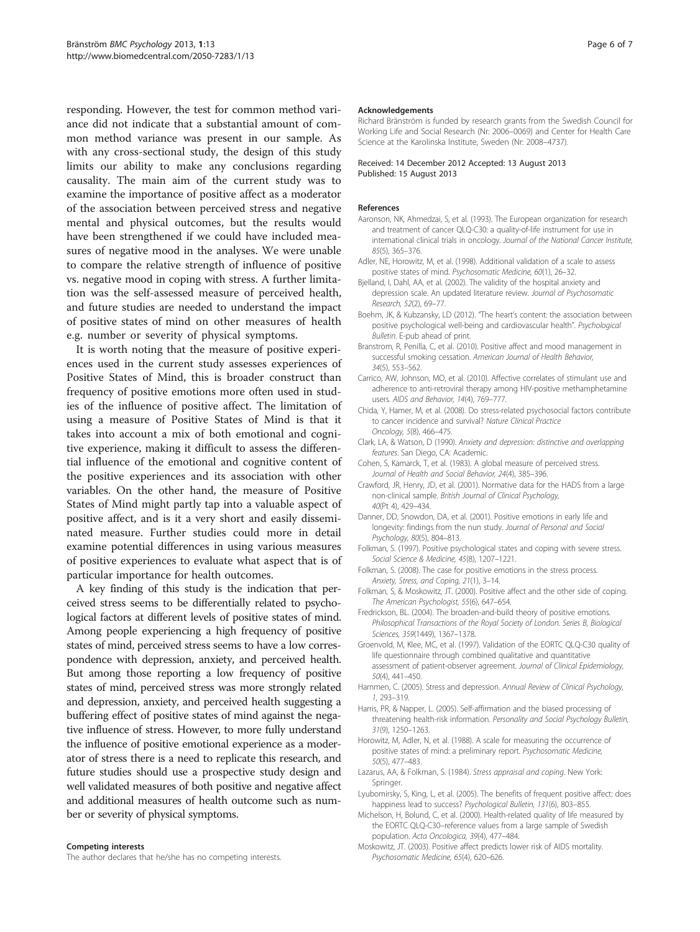<span id="page-5-0"></span>responding. However, the test for common method variance did not indicate that a substantial amount of common method variance was present in our sample. As with any cross-sectional study, the design of this study limits our ability to make any conclusions regarding causality. The main aim of the current study was to examine the importance of positive affect as a moderator of the association between perceived stress and negative mental and physical outcomes, but the results would have been strengthened if we could have included measures of negative mood in the analyses. We were unable to compare the relative strength of influence of positive vs. negative mood in coping with stress. A further limitation was the self-assessed measure of perceived health, and future studies are needed to understand the impact of positive states of mind on other measures of health e.g. number or severity of physical symptoms.

It is worth noting that the measure of positive experiences used in the current study assesses experiences of Positive States of Mind, this is broader construct than frequency of positive emotions more often used in studies of the influence of positive affect. The limitation of using a measure of Positive States of Mind is that it takes into account a mix of both emotional and cognitive experience, making it difficult to assess the differential influence of the emotional and cognitive content of the positive experiences and its association with other variables. On the other hand, the measure of Positive States of Mind might partly tap into a valuable aspect of positive affect, and is it a very short and easily disseminated measure. Further studies could more in detail examine potential differences in using various measures of positive experiences to evaluate what aspect that is of particular importance for health outcomes.

A key finding of this study is the indication that perceived stress seems to be differentially related to psychological factors at different levels of positive states of mind. Among people experiencing a high frequency of positive states of mind, perceived stress seems to have a low correspondence with depression, anxiety, and perceived health. But among those reporting a low frequency of positive states of mind, perceived stress was more strongly related and depression, anxiety, and perceived health suggesting a buffering effect of positive states of mind against the negative influence of stress. However, to more fully understand the influence of positive emotional experience as a moderator of stress there is a need to replicate this research, and future studies should use a prospective study design and well validated measures of both positive and negative affect and additional measures of health outcome such as number or severity of physical symptoms.

#### Competing interests

The author declares that he/she has no competing interests.

#### Acknowledgements

Richard Bränström is funded by research grants from the Swedish Council for Working Life and Social Research (Nr: 2006–0069) and Center for Health Care Science at the Karolinska Institute, Sweden (Nr: 2008–4737).

#### Received: 14 December 2012 Accepted: 13 August 2013 Published: 15 August 2013

#### References

- Aaronson, NK, Ahmedzai, S, et al. (1993). The European organization for research and treatment of cancer QLQ-C30: a quality-of-life instrument for use in international clinical trials in oncology. Journal of the National Cancer Institute, 85(5), 365–376.
- Adler, NE, Horowitz, M, et al. (1998). Additional validation of a scale to assess positive states of mind. Psychosomatic Medicine, 60(1), 26–32.
- Bjelland, I, Dahl, AA, et al. (2002). The validity of the hospital anxiety and depression scale. An updated literature review. Journal of Psychosomatic Research, 52(2), 69–77.
- Boehm, JK, & Kubzansky, LD (2012). "The heart's content: the association between positive psychological well-being and cardiovascular health". Psychological Bulletin. E-pub ahead of print.
- Branstrom, R, Penilla, C, et al. (2010). Positive affect and mood management in successful smoking cessation. American Journal of Health Behavior, 34(5), 553–562.
- Carrico, AW, Johnson, MO, et al. (2010). Affective correlates of stimulant use and adherence to anti-retroviral therapy among HIV-positive methamphetamine users. AIDS and Behavior, 14(4), 769–777.
- Chida, Y, Hamer, M, et al. (2008). Do stress-related psychosocial factors contribute to cancer incidence and survival? Nature Clinical Practice Oncology, 5(8), 466–475.
- Clark, LA, & Watson, D (1990). Anxiety and depression: distinctive and overlapping features. San Diego, CA: Academic.
- Cohen, S, Kamarck, T, et al. (1983). A global measure of perceived stress. Journal of Health and Social Behavior, 24(4), 385–396.
- Crawford, JR, Henry, JD, et al. (2001). Normative data for the HADS from a large non-clinical sample. British Journal of Clinical Psychology, 40(Pt 4), 429–434.
- Danner, DD, Snowdon, DA, et al. (2001). Positive emotions in early life and longevity: findings from the nun study. Journal of Personal and Social Psychology, 80(5), 804–813.
- Folkman, S. (1997). Positive psychological states and coping with severe stress. Social Science & Medicine, 45(8), 1207–1221.
- Folkman, S. (2008). The case for positive emotions in the stress process. Anxiety, Stress, and Coping, 21(1), 3–14.
- Folkman, S, & Moskowitz, JT. (2000). Positive affect and the other side of coping. The American Psychologist, 55(6), 647–654.
- Fredrickson, BL. (2004). The broaden-and-build theory of positive emotions. Philosophical Transactions of the Royal Society of London. Series B, Biological Sciences, 359(1449), 1367–1378.
- Groenvold, M, Klee, MC, et al. (1997). Validation of the EORTC QLQ-C30 quality of life questionnaire through combined qualitative and quantitative assessment of patient-observer agreement. Journal of Clinical Epidemiology, 50(4), 441–450.
- Hammen, C. (2005). Stress and depression. Annual Review of Clinical Psychology, 1, 293–319.
- Harris, PR, & Napper, L. (2005). Self-affirmation and the biased processing of threatening health-risk information. Personality and Social Psychology Bulletin, 31(9), 1250–1263.
- Horowitz, M, Adler, N, et al. (1988). A scale for measuring the occurrence of positive states of mind: a preliminary report. Psychosomatic Medicine, 50(5), 477–483.
- Lazarus, AA, & Folkman, S. (1984). Stress appraisal and coping. New York: Springer.
- Lyubomirsky, S, King, L, et al. (2005). The benefits of frequent positive affect: does happiness lead to success? Psychological Bulletin, 131(6), 803–855.
- Michelson, H, Bolund, C, et al. (2000). Health-related quality of life measured by the EORTC QLQ-C30–reference values from a large sample of Swedish population. Acta Oncologica, 39(4), 477–484.
- Moskowitz, JT. (2003). Positive affect predicts lower risk of AIDS mortality. Psychosomatic Medicine, 65(4), 620–626.